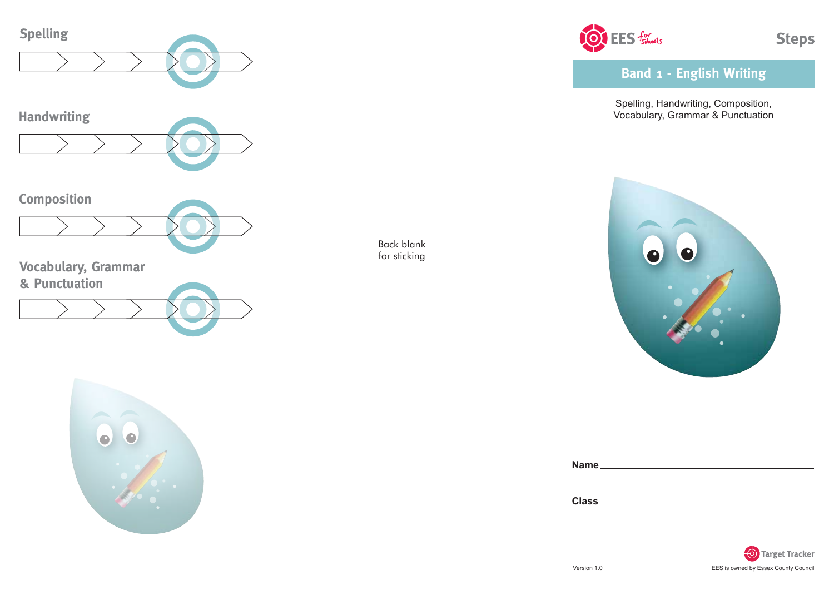

Back blank for sticking



**Band 1 - English Writing**

Spelling, Handwriting, Composition, Vocabulary, Grammar & Punctuation



| Name.        |  |  |  |
|--------------|--|--|--|
|              |  |  |  |
|              |  |  |  |
| <b>Class</b> |  |  |  |